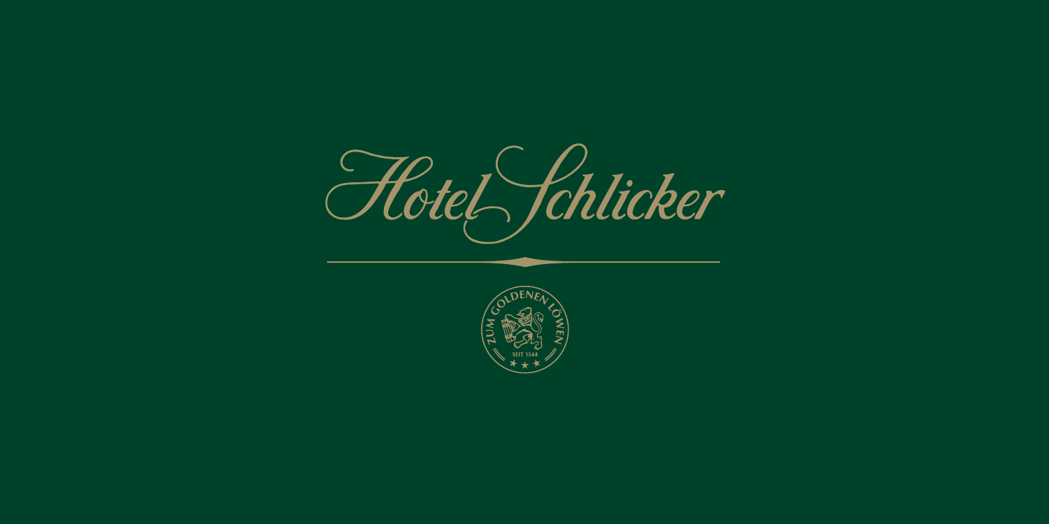

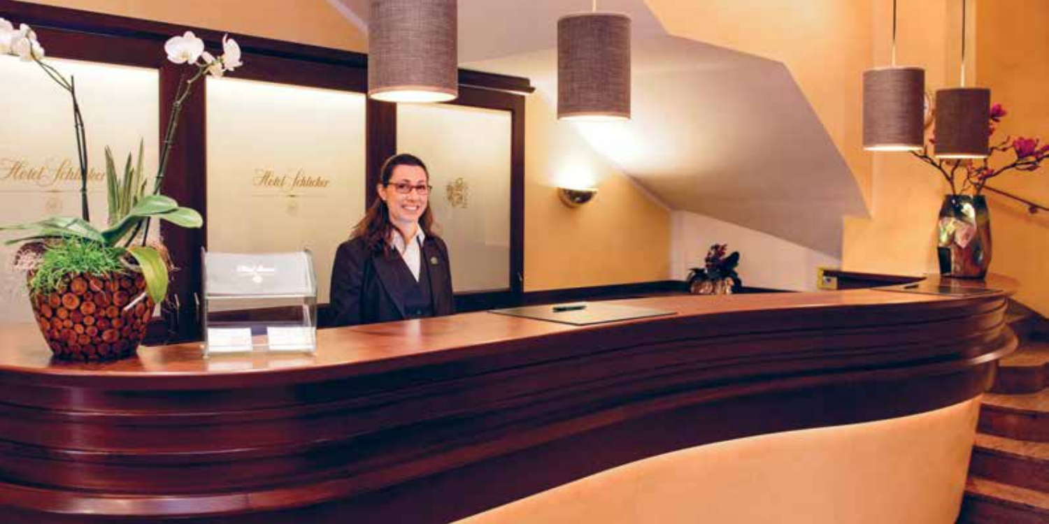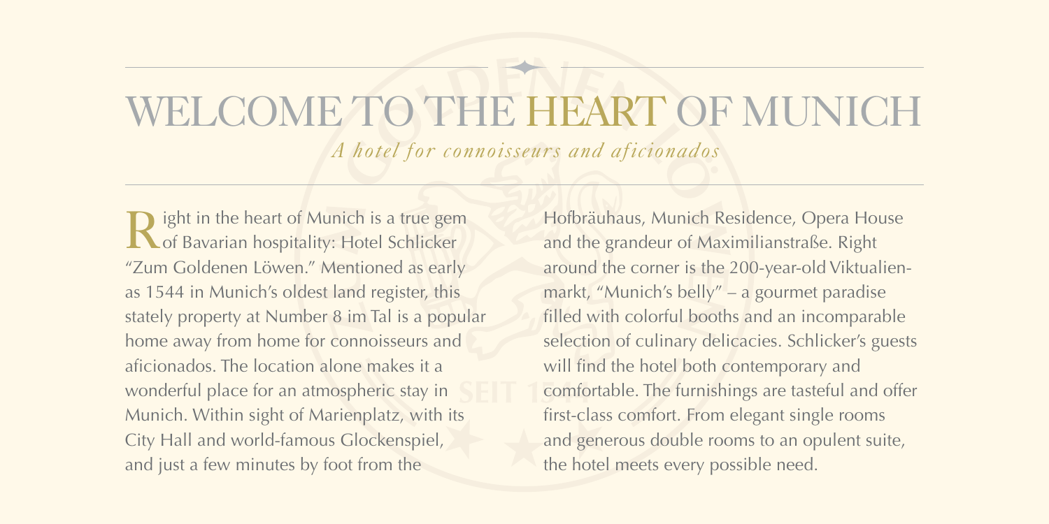## WELCOME TO THE HEART OF MUNICH *A hotel for connoisseurs and aficionados*

ight in the heart of Munich is a true gem of Bavarian hospitality: Hotel Schlicker "Zum Goldenen Löwen." Mentioned as early as 1544 in Munich's oldest land register, this stately property at Number 8 im Tal is a popular home away from home for connoisseurs and aficionados. The location alone makes it a wonderful place for an atmospheric stay in Munich. Within sight of Marienplatz, with its City Hall and world-famous Glockenspiel, and just a few minutes by foot from the

Hofbräuhaus, Munich Residence, Opera House and the grandeur of Maximilianstraße. Right around the corner is the 200-year-old Viktualienmarkt, "Munich's belly" – a gourmet paradise filled with colorful booths and an incomparable selection of culinary delicacies. Schlicker's guests will find the hotel both contemporary and comfortable. The furnishings are tasteful and offer first-class comfort. From elegant single rooms and generous double rooms to an opulent suite, the hotel meets every possible need.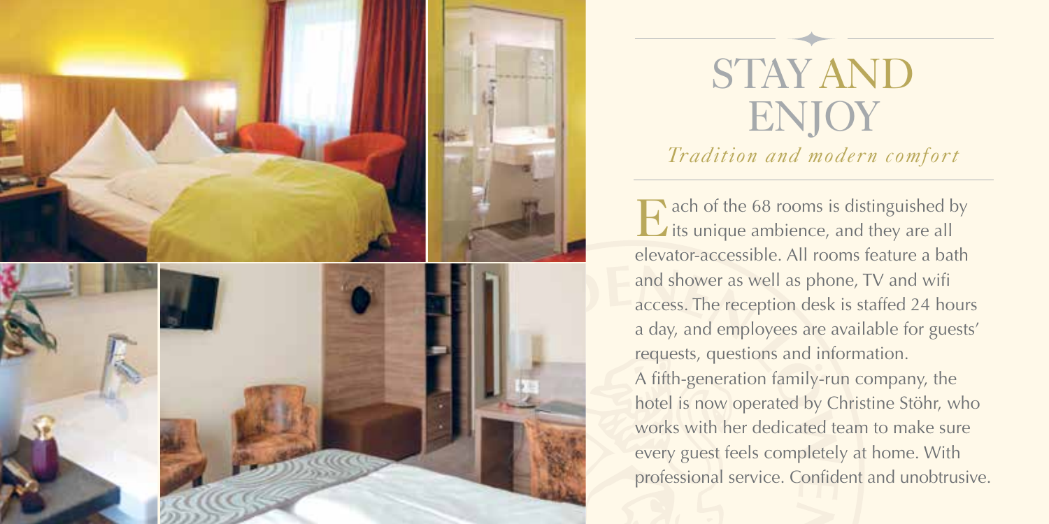

## STAY AND **ENJOY** *Tradition and modern comfort*

**Example 13** ach of the 68 rooms is distinguished by  $\Box$  its unique ambience, and they are all elevator-accessible. All rooms feature a bath and shower as well as phone, TV and wifi access. The reception desk is staffed 24 hours a day, and employees are available for guests' requests, questions and information. A fifth-generation family-run company, the hotel is now operated by Christine Stöhr, who works with her dedicated team to make sure every guest feels completely at home. With professional service. Confident and unobtrusive.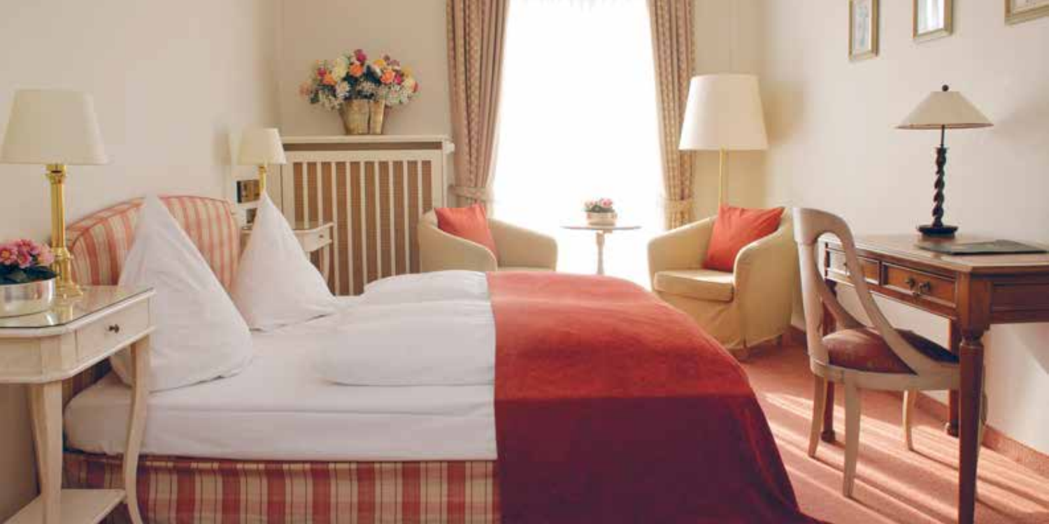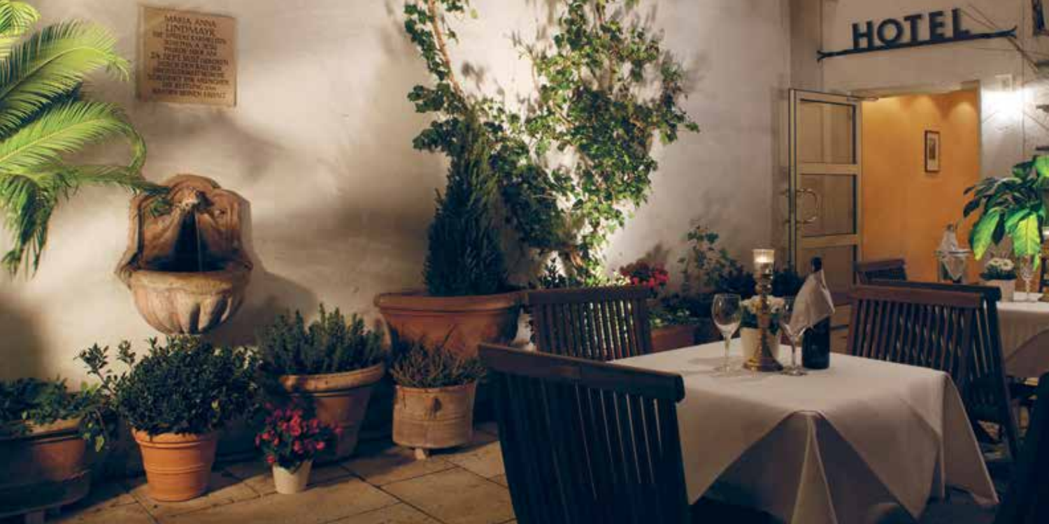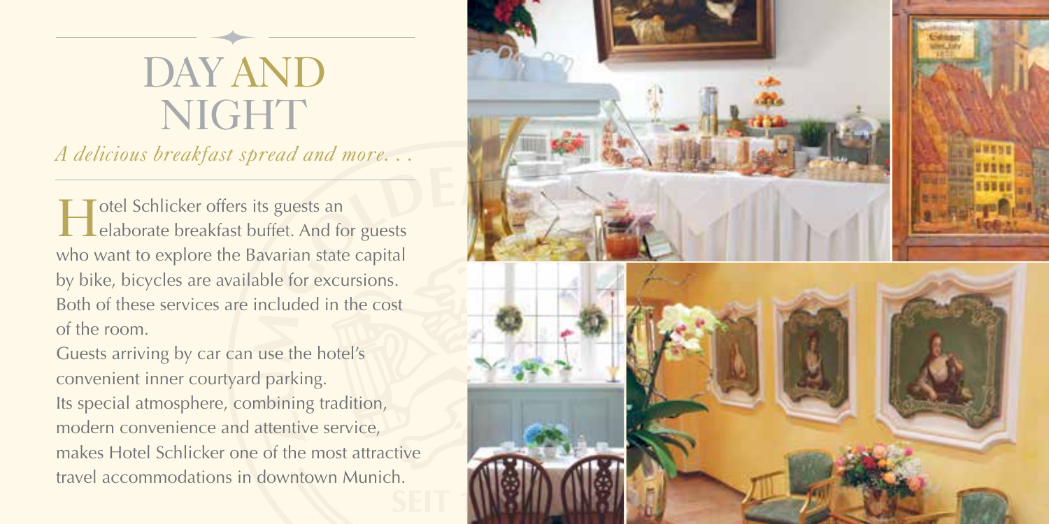## DAY AND **NIGHT**

*A delicious breakfast spread and more. . .*

The Schlicker offers its guests an elaborate breakfast buffet. And for guests who want to explore the Bavarian state capital by bike, bicycles are available for excursions. Both of these services are included in the cost of the room.

Guests arriving by car can use the hotel's convenient inner courtyard parking. Its special atmosphere, combining tradition, modern convenience and attentive service, makes Hotel Schlicker one of the most attractive travel accommodations in downtown Munich.